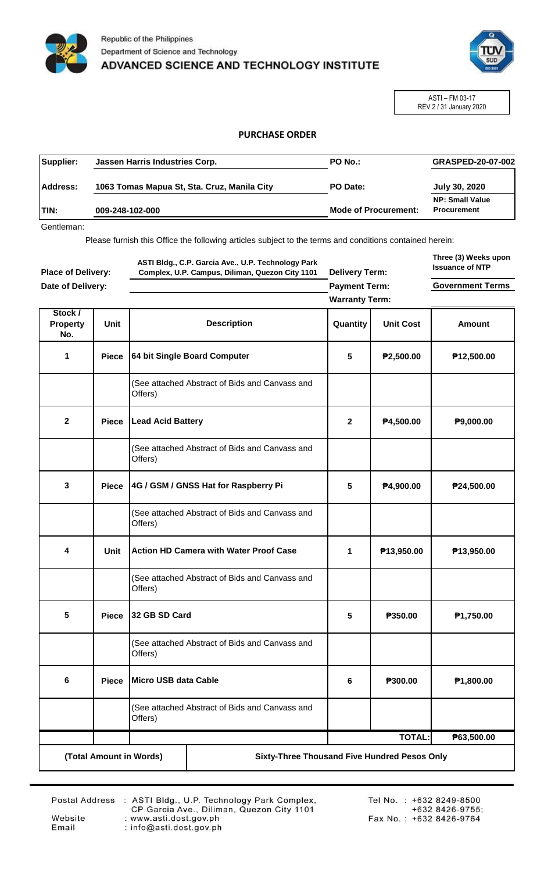



ASTI – FM 03-17 REV 2 / 31 January 2020

## **PURCHASE ORDER**

| Supplier:    | Jassen Harris Industries Corp.              | <b>PO No.:</b>              | <b>GRASPED-20-07-002</b>                     |
|--------------|---------------------------------------------|-----------------------------|----------------------------------------------|
| Address:     | 1063 Tomas Mapua St, Sta. Cruz, Manila City | PO Date:                    | July 30, 2020                                |
| <b>ITIN:</b> | 009-248-102-000                             | <b>Mode of Procurement:</b> | <b>NP: Small Value</b><br><b>Procurement</b> |

Gentleman:

Please furnish this Office the following articles subject to the terms and conditions contained herein:

| <b>Place of Delivery:</b><br>Date of Delivery: |              | ASTI Bldg., C.P. Garcia Ave., U.P. Technology Park<br>Complex, U.P. Campus, Diliman, Quezon City 1101 |                                                | <b>Delivery Term:</b>                         |                  | Three (3) Weeks upon<br><b>Issuance of NTP</b> |
|------------------------------------------------|--------------|-------------------------------------------------------------------------------------------------------|------------------------------------------------|-----------------------------------------------|------------------|------------------------------------------------|
|                                                |              |                                                                                                       |                                                | <b>Payment Term:</b><br><b>Warranty Term:</b> |                  | <b>Government Terms</b>                        |
| Stock /<br>Property<br>No.                     | <b>Unit</b>  |                                                                                                       | <b>Description</b>                             | Quantity                                      | <b>Unit Cost</b> | Amount                                         |
| 1                                              | <b>Piece</b> |                                                                                                       | 64 bit Single Board Computer                   | 5                                             | P2,500.00        | P <sub>12,500.00</sub>                         |
|                                                |              | Offers)                                                                                               | (See attached Abstract of Bids and Canvass and |                                               |                  |                                                |
| $\mathbf{2}$                                   | <b>Piece</b> | <b>Lead Acid Battery</b>                                                                              |                                                | $\mathbf{2}$                                  | P4,500.00        | P9,000.00                                      |
|                                                |              | Offers)                                                                                               | (See attached Abstract of Bids and Canvass and |                                               |                  |                                                |
| 3                                              | <b>Piece</b> |                                                                                                       | 4G / GSM / GNSS Hat for Raspberry Pi           | 5                                             | P4,900.00        | ₱24,500.00                                     |
|                                                |              | Offers)                                                                                               | (See attached Abstract of Bids and Canvass and |                                               |                  |                                                |
| 4                                              | <b>Unit</b>  |                                                                                                       | <b>Action HD Camera with Water Proof Case</b>  | 1                                             | P13,950.00       | P <sub>13,950.00</sub>                         |
|                                                |              | Offers)                                                                                               | (See attached Abstract of Bids and Canvass and |                                               |                  |                                                |
| 5                                              | <b>Piece</b> | 32 GB SD Card                                                                                         |                                                | 5                                             | P350.00          | P <sub>1</sub> ,750.00                         |
|                                                |              | Offers)                                                                                               | (See attached Abstract of Bids and Canvass and |                                               |                  |                                                |
| 6                                              | <b>Piece</b> | Micro USB data Cable                                                                                  |                                                | 6                                             | P300.00          | P1,800.00                                      |
|                                                |              | (See attached Abstract of Bids and Canvass and<br>Offers)                                             |                                                |                                               |                  |                                                |
|                                                |              |                                                                                                       |                                                |                                               | <b>TOTAL:</b>    | P63,500.00                                     |
|                                                |              | (Total Amount in Words)                                                                               | Sixty-Three Thousand Five Hundred Pesos Only   |                                               |                  |                                                |

Website

Email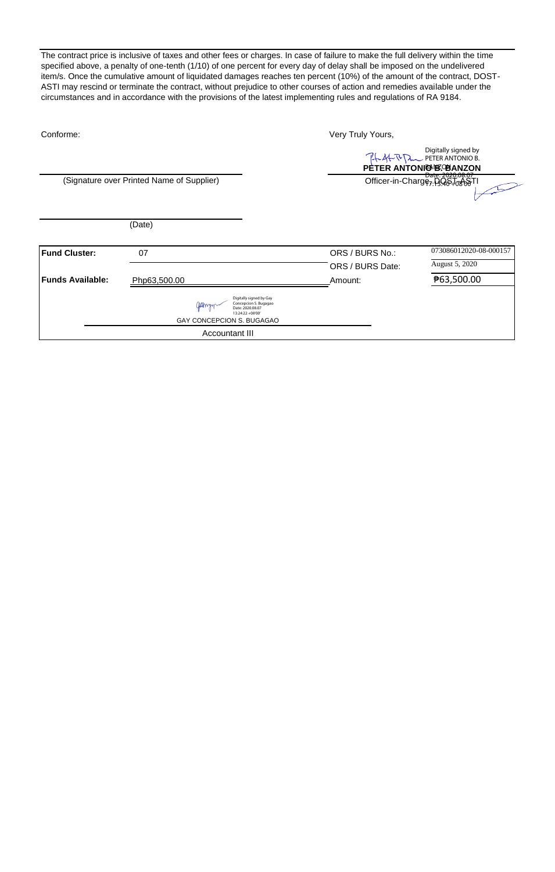The contract price is inclusive of taxes and other fees or charges. In case of failure to make the full delivery within the time specified above, a penalty of one-tenth (1/10) of one percent for every day of delay shall be imposed on the undelivered item/s. Once the cumulative amount of liquidated damages reaches ten percent (10%) of the amount of the contract, DOST-ASTI may rescind or terminate the contract, without prejudice to other courses of action and remedies available under the circumstances and in accordance with the provisions of the latest implementing rules and regulations of RA 9184.

| Conforme:            |                                                                                                                       | Very Truly Yours, |                                                                            |  |
|----------------------|-----------------------------------------------------------------------------------------------------------------------|-------------------|----------------------------------------------------------------------------|--|
|                      |                                                                                                                       |                   | Digitally signed by<br>Ph 4-R D PETER ANTONIO B.<br>PETER ANTONIO BOBANZON |  |
|                      | (Signature over Printed Name of Supplier)                                                                             |                   | Date: 2020.08.37<br>Officer-in-Charge <sub>7: 13.98</sub> .10806TI         |  |
|                      | (Date)                                                                                                                |                   |                                                                            |  |
| <b>Fund Cluster:</b> | 07                                                                                                                    | ORS / BURS No.:   | 073086012020-08-000157                                                     |  |
|                      |                                                                                                                       | ORS / BURS Date:  | August 5, 2020                                                             |  |
| Funds Available:     | Php63,500.00                                                                                                          | Amount:           | ₱63,500.00                                                                 |  |
|                      | Digitally signed by Gay<br>Concepcion S. Bugagao<br>Date: 2020.08.07<br>13:24:22 +08'00"<br>GAY CONCEPCION S. BUGAGAO |                   |                                                                            |  |
|                      | Accountant III                                                                                                        |                   |                                                                            |  |